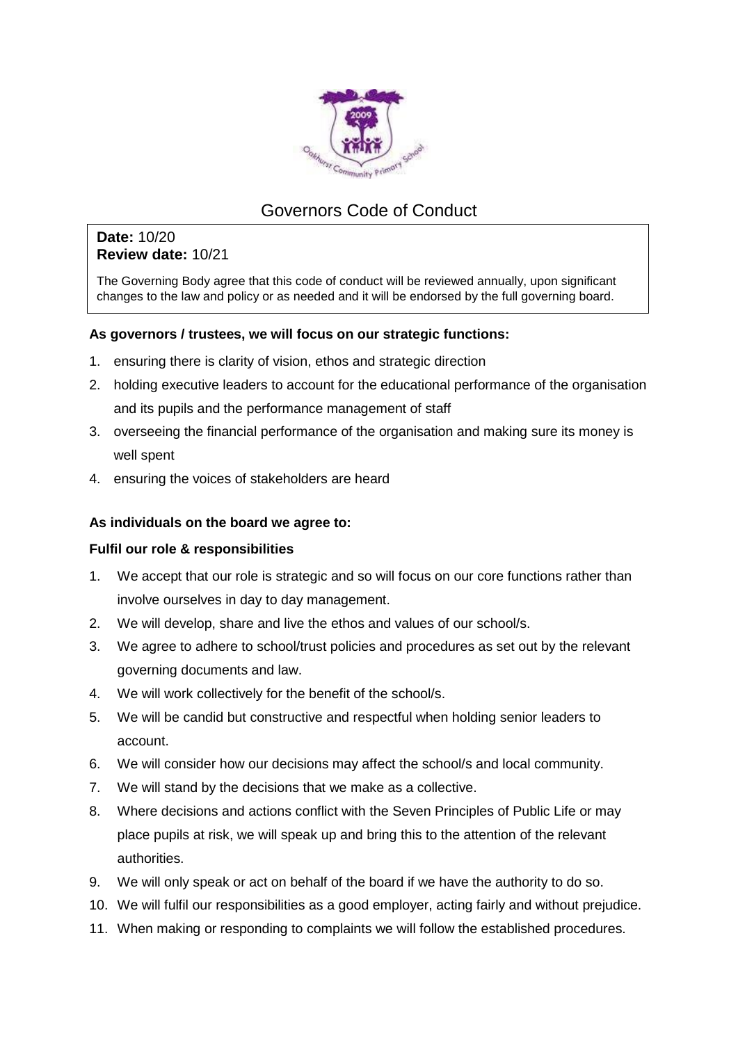

# Governors Code of Conduct

## **Date:** 10/20 **Review date:** 10/21

The Governing Body agree that this code of conduct will be reviewed annually, upon significant changes to the law and policy or as needed and it will be endorsed by the full governing board.

### **As governors / trustees, we will focus on our strategic functions:**

- 1. ensuring there is clarity of vision, ethos and strategic direction
- 2. holding executive leaders to account for the educational performance of the organisation and its pupils and the performance management of staff
- 3. overseeing the financial performance of the organisation and making sure its money is well spent
- 4. ensuring the voices of stakeholders are heard

### **As individuals on the board we agree to:**

### **Fulfil our role & responsibilities**

- 1. We accept that our role is strategic and so will focus on our core functions rather than involve ourselves in day to day management.
- 2. We will develop, share and live the ethos and values of our school/s.
- 3. We agree to adhere to school/trust policies and procedures as set out by the relevant governing documents and law.
- 4. We will work collectively for the benefit of the school/s.
- 5. We will be candid but constructive and respectful when holding senior leaders to account.
- 6. We will consider how our decisions may affect the school/s and local community.
- 7. We will stand by the decisions that we make as a collective.
- 8. Where decisions and actions conflict with the Seven Principles of Public Life or may place pupils at risk, we will speak up and bring this to the attention of the relevant authorities.
- 9. We will only speak or act on behalf of the board if we have the authority to do so.
- 10. We will fulfil our responsibilities as a good employer, acting fairly and without prejudice.
- 11. When making or responding to complaints we will follow the established procedures.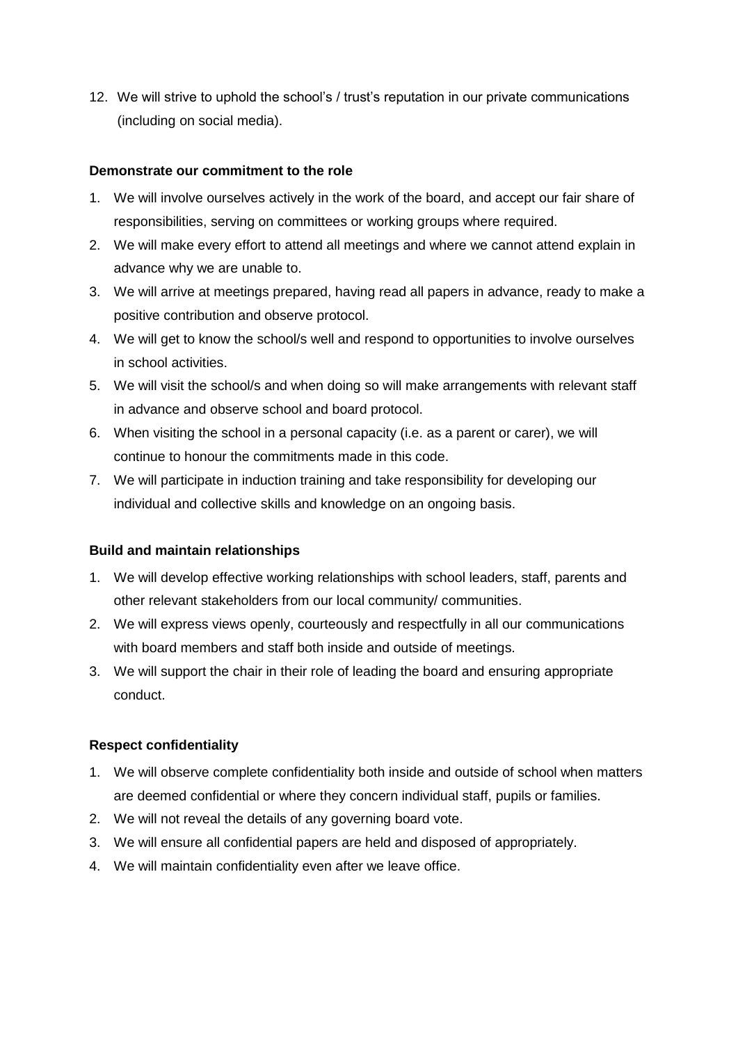12. We will strive to uphold the school's / trust's reputation in our private communications (including on social media).

#### **Demonstrate our commitment to the role**

- 1. We will involve ourselves actively in the work of the board, and accept our fair share of responsibilities, serving on committees or working groups where required.
- 2. We will make every effort to attend all meetings and where we cannot attend explain in advance why we are unable to.
- 3. We will arrive at meetings prepared, having read all papers in advance, ready to make a positive contribution and observe protocol.
- 4. We will get to know the school/s well and respond to opportunities to involve ourselves in school activities.
- 5. We will visit the school/s and when doing so will make arrangements with relevant staff in advance and observe school and board protocol.
- 6. When visiting the school in a personal capacity (i.e. as a parent or carer), we will continue to honour the commitments made in this code.
- 7. We will participate in induction training and take responsibility for developing our individual and collective skills and knowledge on an ongoing basis.

### **Build and maintain relationships**

- 1. We will develop effective working relationships with school leaders, staff, parents and other relevant stakeholders from our local community/ communities.
- 2. We will express views openly, courteously and respectfully in all our communications with board members and staff both inside and outside of meetings.
- 3. We will support the chair in their role of leading the board and ensuring appropriate conduct.

### **Respect confidentiality**

- 1. We will observe complete confidentiality both inside and outside of school when matters are deemed confidential or where they concern individual staff, pupils or families.
- 2. We will not reveal the details of any governing board vote.
- 3. We will ensure all confidential papers are held and disposed of appropriately.
- 4. We will maintain confidentiality even after we leave office.